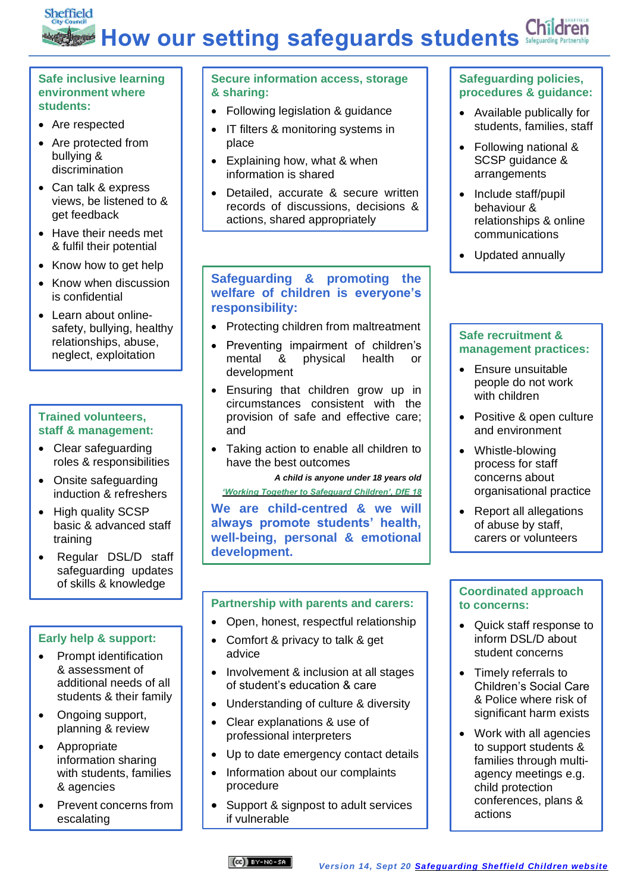## Sheffield Children **How our setting safeguards students**

#### **Safe inclusive learning environment where students:**

- Are respected
- Are protected from bullying & discrimination
- Can talk & express views, be listened to & get feedback
- Have their needs met & fulfil their potential
- Know how to get help
- Know when discussion is confidential
- Learn about onlinesafety, bullying, healthy relationships, abuse, neglect, exploitation

## **Trained volunteers, staff & management:**

- Clear safeguarding roles & responsibilities
- Onsite safeguarding induction & refreshers
- High quality SCSP basic & advanced staff training
- Regular DSL/D staff safeguarding updates of skills & knowledge

## **Early help & support:**

- Prompt identification & assessment of additional needs of all students & their family
- Ongoing support, planning & review
- Appropriate information sharing with students, families & agencies
- Prevent concerns from escalating

## **Secure information access, storage & sharing:**

- Following legislation & guidance
- IT filters & monitoring systems in place
- Explaining how, what & when information is shared
- Detailed, accurate & secure written records of discussions, decisions & actions, shared appropriately

#### **Safeguarding & promoting the welfare of children is everyone's responsibility:**

- Protecting children from maltreatment
- Preventing impairment of children's mental & physical health or development
- Ensuring that children grow up in circumstances consistent with the provision of safe and effective care; and
- Taking action to enable all children to have the best outcomes

*A child is anyone under 18 years old ['Working Together to Safeguard Children', DfE 18](https://assets.publishing.service.gov.uk/government/uploads/system/uploads/attachment_data/file/779401/Working_Together_to_Safeguard-Children.pdf)*

**We are child-centred & we will always promote students' health, well-being, personal & emotional development.**

## **Partnership with parents and carers:**

- Open, honest, respectful relationship
- Comfort & privacy to talk & get advice
- Involvement & inclusion at all stages of student's education & care
- Understanding of culture & diversity
- Clear explanations & use of professional interpreters
- Up to date emergency contact details
- Information about our complaints procedure
- Support & signpost to adult services if vulnerable

## **Safeguarding policies, procedures & guidance:**

- Available publically for students, families, staff
- Following national & SCSP guidance & arrangements
- Include staff/pupil behaviour & relationships & online communications
- Updated annually

#### **Safe recruitment & management practices:**

- Ensure unsuitable people do not work with children
- Positive & open culture and environment
- Whistle-blowing process for staff concerns about organisational practice
- Report all allegations of abuse by staff, carers or volunteers

#### **Coordinated approach to concerns:**

- Quick staff response to inform DSL/D about student concerns
- Timely referrals to Children's Social Care & Police where risk of significant harm exists
- Work with all agencies to support students & families through multiagency meetings e.g. child protection conferences, plans & actions

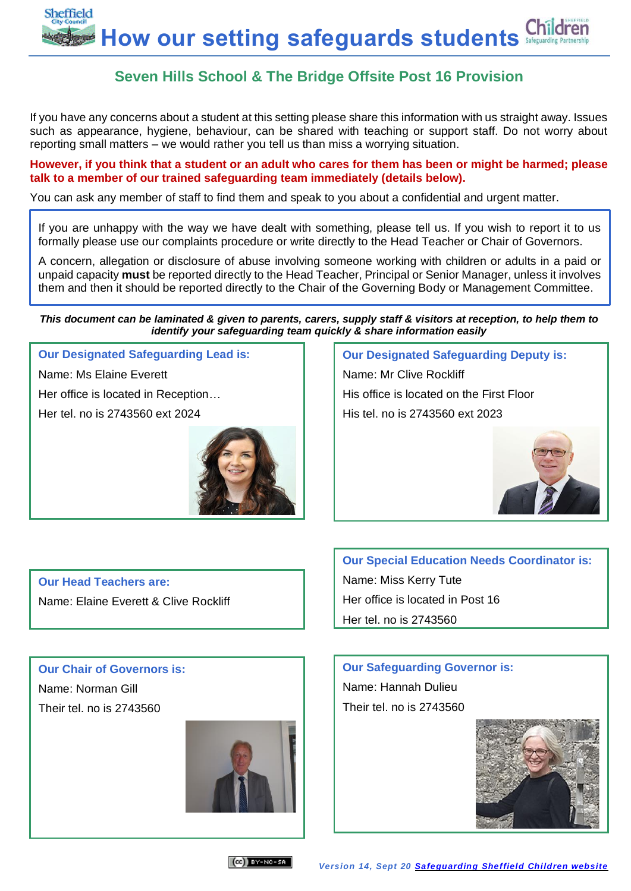

# **Seven Hills School & The Bridge Offsite Post 16 Provision**

If you have any concerns about a student at this setting please share this information with us straight away. Issues such as appearance, hygiene, behaviour, can be shared with teaching or support staff. Do not worry about reporting small matters – we would rather you tell us than miss a worrying situation.

**However, if you think that a student or an adult who cares for them has been or might be harmed; please talk to a member of our trained safeguarding team immediately (details below).** 

You can ask any member of staff to find them and speak to you about a confidential and urgent matter.

If you are unhappy with the way we have dealt with something, please tell us. If you wish to report it to us formally please use our complaints procedure or write directly to the Head Teacher or Chair of Governors.

A concern, allegation or disclosure of abuse involving someone working with children or adults in a paid or unpaid capacity **must** be reported directly to the Head Teacher, Principal or Senior Manager, unless it involves them and then it should be reported directly to the Chair of the Governing Body or Management Committee.

*This document can be laminated & given to parents, carers, supply staff & visitors at reception, to help them to identify your safeguarding team quickly & share information easily*

**Our Designated Safeguarding Lead is:** Name: Ms Elaine Everett Her office is located in Reception…

Her tel. no is 2743560 ext 2024



**Our Designated Safeguarding Deputy is:** Name: Mr Clive Rockliff His office is located on the First Floor His tel. no is 2743560 ext 2023



**Our Head Teachers are:** Name: Elaine Everett & Clive Rockliff **Our Special Education Needs Coordinator is:**

## **Our Chair of Governors is:** Name: Norman Gill

Their tel. no is 2743560



Name: Miss Kerry Tute Her office is located in Post 16 Her tel. no is 2743560

# **Our Safeguarding Governor is:** Name: Hannah Dulieu Their tel. no is 2743560